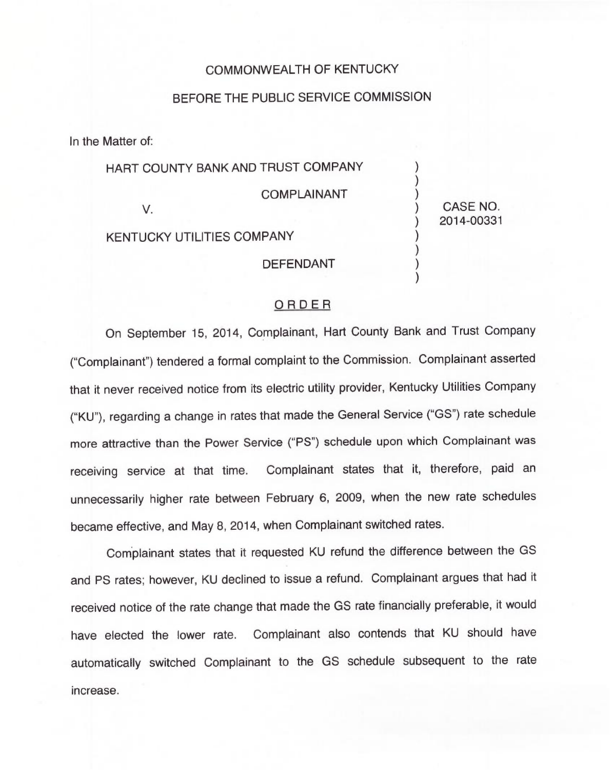## COMMONWEALTH OF KENTUCKY

## BEFORE THE PUBLIC SERVICE COMMISSION

In the Matter of:

HART COUNTY BANK AND TRUST COMPANY

COMPLAINANT

V.

KENTUCKY UTILITIES COMPANY

DEFENDANT

## ) CASE NO. ) 2014-00331

) )

) ) ) )

## ORDER

On September 15, 2014, Complainant, Hart County Bank and Trust Company ("Complainant") tendered a formal complaint to the Commission. Complainant asserte that it never received notice from its electric utility provider, Kentucky Utilities Company ("KU"), regarding a change in rates that made the General Service ("GS") rate schedule more attractive than the Power Service ("PS") schedule upon which Complainant was receiving service at that time. Complainant states that it, therefore, paid an unnecessarily higher rate between February 6, 2009, when the new rate schedules became effective, and May 8, 2014, when Complainant switched rates.

Complainant states that it requested KU refund the difference between the GS and PS rates; however, KU declined to issue a refund. Complainant argues that had it received notice of the rate change that made the GS rate financially preferable, it would have elected the lower rate. Complainant also contends that KU should have automatically switched Complainant to the GS schedule subsequent to the rate increase.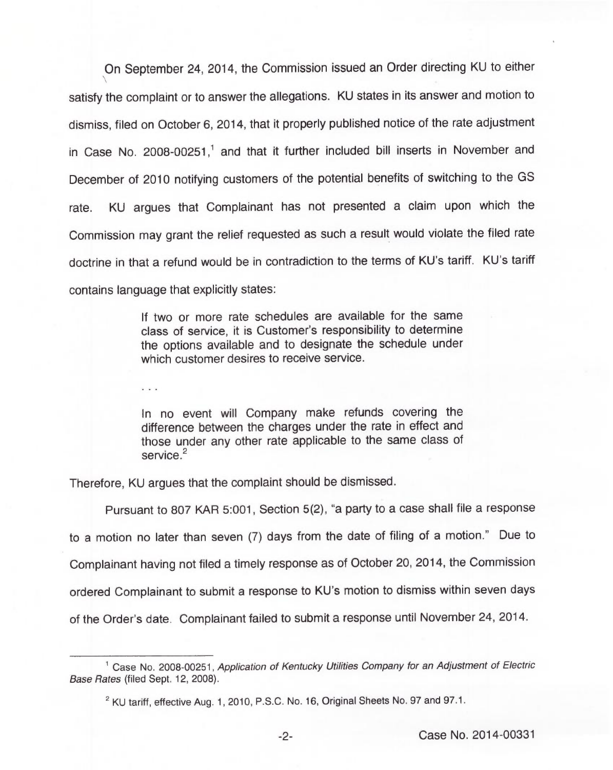On September 24, 2014, the Commission issued an Order directing KU to either satisfy the complaint or to answer the allegations. KU states in its answer and motion to dismiss, filed on October 6, 2014, that it properly published notice of the rate adjustment in Case No. 2008-00251, $^1$  and that it further included bill inserts in November and December of 2010 notifying customers of the potential benefits of switching to the GS rate. KU argues that Complainant has not presented a claim upon which the Commission may grant the relief requested as such a result would violate the filed rate doctrine in that a refund would be in contradiction to the terms of KU's tariff. KU's tariff contains language that explicitly states:

> If two or more rate schedules are available for the same class of service, it is Customer's responsibility to determine the options available and to designate the schedule under which customer desires to receive service.

In no event will Company make refunds covering the difference between the charges under the rate in effect and those under any other rate applicable to the same class of service.<sup>2</sup>

Therefore, KU argues that the complaint should be dismissed.

Pursuant to 807 KAR 5:001, Section 5(2), "a party to a case shall file a response to a motion no later than seven (7) days from the date of filing of a motion." Due to Complainant having not filed a timely response as of October 20, 2014, the Commission ordered Complainant to submit a response to KU's motion to dismiss within seven days of the Order's date. Complainant failed to submit a response until November 24, 2014.

<sup>&</sup>lt;sup>1</sup> Case No. 2008-00251, Application of Kentucky Utilities Company for an Adjustment of Electric Base Rates (filed Sept. 12, 2008).

<sup>&</sup>lt;sup>2</sup> KU tariff, effective Aug. 1, 2010, P.S.C. No. 16, Original Sheets No. 97 and 97.1.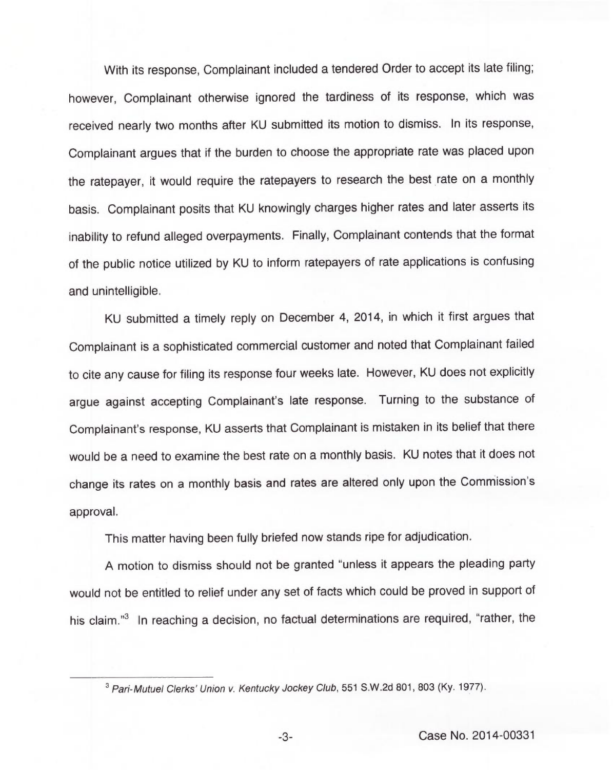With its response, Complainant included a tendered Order to accept its late filing; however, Complainant otherwise ignored the tardiness of its response, which was received nearly two months after KU submitted its motion to dismiss. In its response, Complainant argues that if the burden to choose the appropriate rate was placed upon the ratepayer, it would require the ratepayers to research the best rate on a monthly basis. Complainant posits that KU knowingly charges higher rates and later asserts its inability to refund alleged overpayments. Finally, Complainant contends that the format of the public notice utilized by KU to inform ratepayers of rate applications is confusing and unintelligible.

KU submitted a timely reply on December 4, 2014, in which it first argues that Complainant is a sophisticated commercial customer and noted that Complainant failed to cite any cause for filing its response four weeks late. However, KU does not explicitly argue against accepting Complainant's late response. Turning to the substance of Complainant's response, KU asserts that Complainant is mistaken in its belief that there would be a need to examine the best rate on a monthly basis. KU notes that it does not change its rates on a monthly basis and rates are altered only upon the Commission's approval.

This matter having been fully briefed now stands ripe for adjudication.

A motion to dismiss should not be granted "unless it appears the pleading party would not be entitled to relief under any set of facts which could be proved in support of his claim."<sup>3</sup> In reaching a decision, no factual determinations are required, "rather, the

<sup>&</sup>lt;sup>3</sup> Pari-Mutuel Clerks' Union v. Kentucky Jockey Club, 551 S.W.2d 801, 803 (Ky. 1977).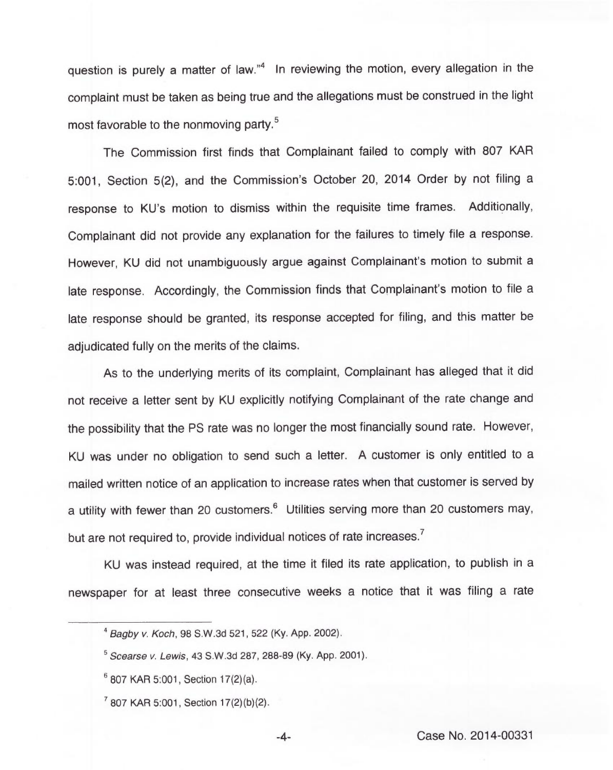question is purely a matter of law."<sup>4</sup> In reviewing the motion, every allegation in the complaint must be taken as being true and the allegations must be construed in the light most favorable to the nonmoving party.<sup>5</sup>

The Commission first finds that Complainant failed to comply with 807 KAR 5:001, Section 5(2), and the Commission's October 20, 2014 Order by not filing a response to KU's motion to dismiss within the requisite time frames. Additionally, Complainant did not provide any explanation for the failures to timely file a response. However, KU did not unambiguously argue against Complainant's motion to submit a late response. Accordingly, the Commission finds that Complainant's motion to file a late response should be granted, its response accepted for filing, and this matter be adjudicated fully on the merits of the claims.

As to the underlying merits of its complaint, Complainant has alleged that it did not receive a letter sent by KU explicitly notifying Complainant of the rate change and the possibility that the PS rate was no longer the most financially sound rate. However, KU was under no obligation to send such a letter. <sup>A</sup> customer is only entitled to a mailed written notice of an application to increase rates when that customer is served by a utility with fewer than 20 customers.<sup>6</sup> Utilities serving more than 20 customers may, but are not required to, provide individual notices of rate increases.<sup>7</sup>

KU was instead required, at the time it filed its rate application, to publish in a newspaper for at least three consecutive weeks a notice that it was filing a rate

<sup>&#</sup>x27;agby v. Koch, 98 S.W.3d 521, 522 (Ky. App. 2002).

Scearse v. Lewis, 43 S.W.3d 287, 288-89 (Ky. App. 2001).

 $6807$  KAR 5:001, Section 17(2)(a).

 $7$  807 KAR 5:001, Section 17(2)(b)(2).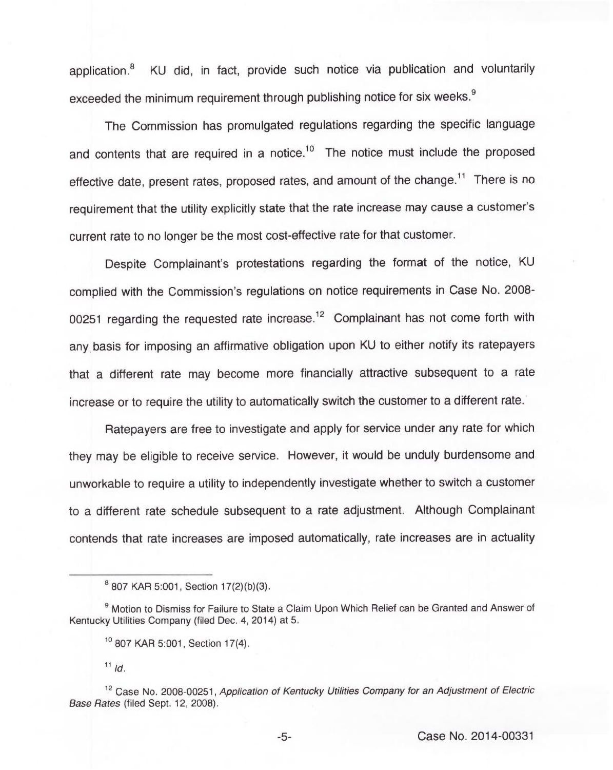application.<sup>8</sup> KU did, in fact, provide such notice via publication and voluntarily exceeded the minimum requirement through publishing notice for six weeks.<sup>9</sup>

The Commission has promulgated regulations regarding the specific language and contents that are required in a notice.<sup>10</sup> The notice must include the proposed effective date, present rates, proposed rates, and amount of the change.<sup>11</sup> There is no requirement that the utility explicitly state that the rate increase may cause a customer' current rate to no longer be the most cost-effective rate for that customer.

Despite Complainant's protestations regarding the format of the notice, KU complied with the Commission's regulations on notice requirements in Case No. 2008- 00251 regarding the requested rate increase.<sup>12</sup> Complainant has not come forth with any basis for imposing an affirmative obligation upon KU to either notify its ratepayers that a different rate may become more financially attractive subsequent to a rate increase or to require the utility to automatically switch the customer to a different rate.

Ratepayers are free to investigate and apply for service under any rate for which they may be eligible to receive service. However, it would be unduly burdensome and unworkable to require a utility to independently investigate whether to switch a customer to a different rate schedule subsequent to a rate adjustment. Although Complainant contends that rate increases are imposed automatically, rate increases are in actuality

<sup>&</sup>lt;sup>8</sup> 807 KAR 5:001, Section 17(2)(b)(3).

<sup>&</sup>lt;sup>9</sup> Motion to Dismiss for Failure to State a Claim Upon Which Relief can be Granted and Answer of Kentucky Utilities Company (filed Dec. 4, 2014) at 5.

<sup>&</sup>lt;sup>10</sup> 807 KAR 5:001, Section 17(4).

 $11$  ld.

<sup>&</sup>lt;sup>12</sup> Case No. 2008-00251, Application of Kentucky Utilities Company for an Adjustment of Electric Base Rates (filed Sept. 12, 2008).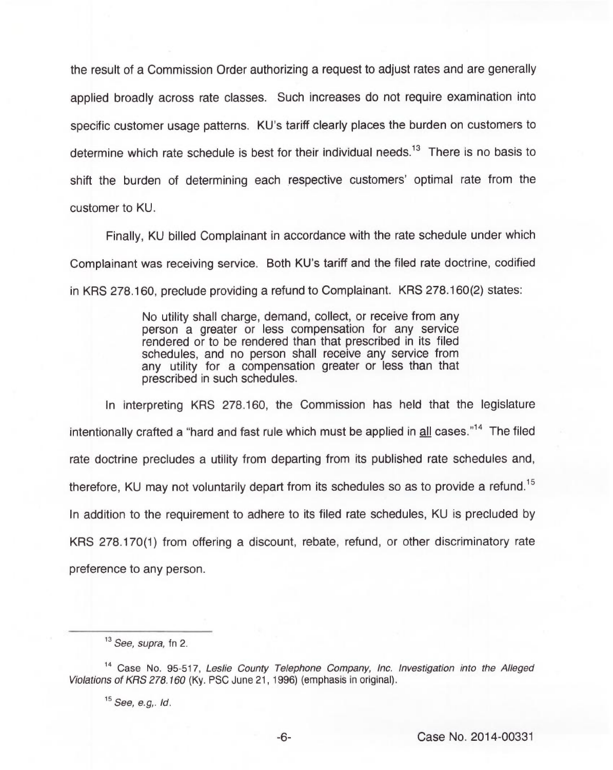the result of a Commission Order authorizing a request to adjust rates and are generally applied broadly across rate classes. Such increases do not require examination into specific customer usage patterns. KU's tariff clearly places the burden on customers to determine which rate schedule is best for their individual needs.<sup>13</sup> There is no basis to shift the burden of determining each respective customers' optimal rate from the customer to KU.

Finally, KU billed Complainant in accordance with the rate schedule under which Complainant was receiving service. Both KU's tariff and the filed rate doctrine, codified in KRS 278.160, preclude providing a refund to Complainant. KRS 278.160(2) states:

> No utility shall charge, demand, collect, or receive from any person a greater or less compensation for any service rendered or to be rendered than that prescribed in its filed schedules, and no person shall receive any service from any utility for a compensation greater or less than that prescribed in such schedules.

In interpreting KRS 278.160, the Commission has held that the legislature intentionally crafted a "hard and fast rule which must be applied in all cases."<sup>14</sup> The filed rate doctrine precludes a utility from departing from its published rate schedules and, therefore, KU may not voluntarily depart from its schedules so as to provide a refund.<sup>15</sup> In addition to the requirement to adhere to its filed rate schedules, KU is precluded by KRS 278.170(1) from offering a discount, rebate, refund, or other discriminatory rate preference to any person.

<sup>&</sup>lt;sup>13</sup> See, supra, fn 2.

<sup>&</sup>lt;sup>14</sup> Case No. 95-517, Leslie County Telephone Company, Inc. Investigation into the Alleged Violations of KRS 278.160 (Ky. PSC June 21, 1996) (emphasis in original).

 $15$  See, e.g,. Id.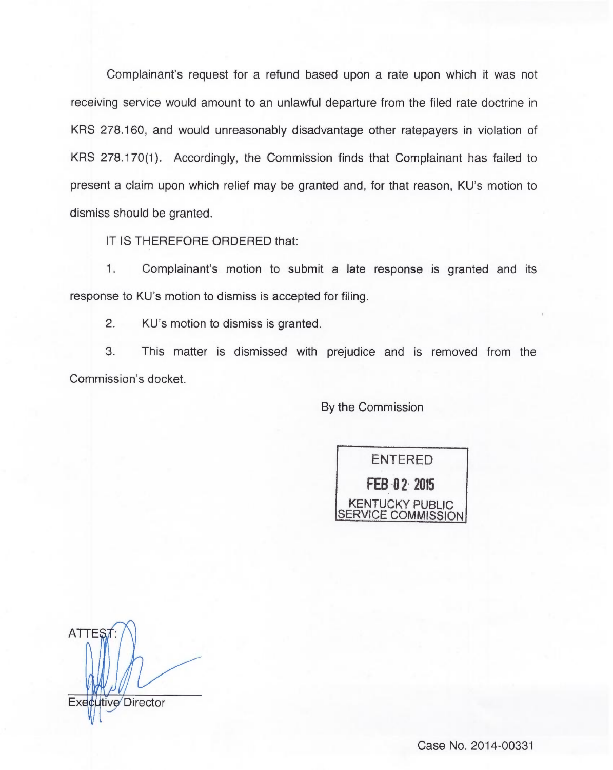Complainant's request for a refund based upon a rate upon which it was not receiving service would amount to an unlawful departure from the filed rate doctrine in KRS 278.160, and would unreasonably disadvantage other ratepayers in violation of KRS 278.170(1). Accordingly, the Commission finds that Complainant has failed to present a claim upon which relief may be granted and, for that reason, KU's motion to dismiss should be granted.

IT IS THEREFORE ORDERED that:

1. Complainant's motion to submit a late response is granted and its response to KU's motion to dismiss is accepted for filing.

 $2.$ KU's motion to dismiss is granted.

3. This matter is dismissed with prejudice and is removed from the Commission's docket.

By the Commission



**ATTES** Executive Director

Case No. 2014-00331